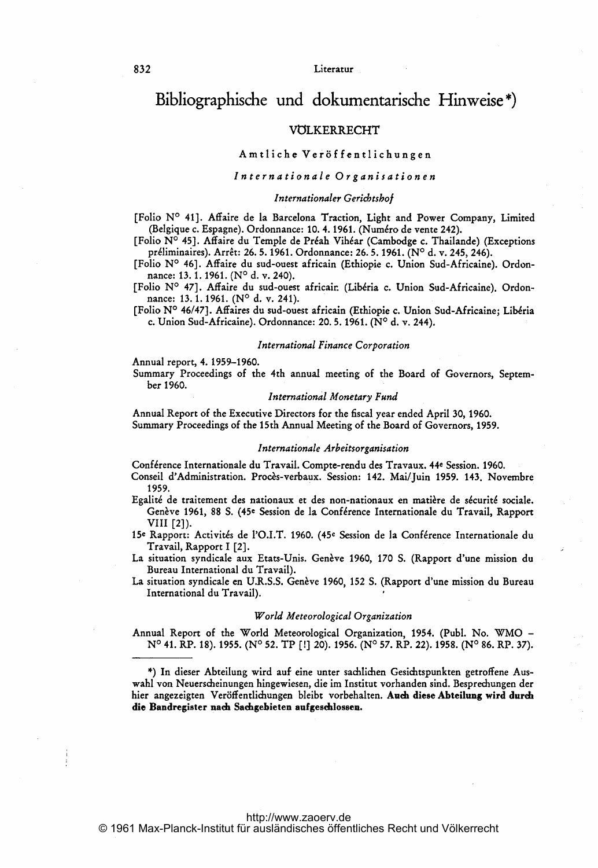# Bibliographische und dokumentarische Hinweise

# VOLKERRECHT

# Amtliche Ver6f fentlichungen

## Internationale Organisationen

## Internationaler Gericbtshof

[Folio Nº 41]. Affaire de la Barcelona Traction, Light and Power Company, Limited (Belgique c. Espagne). Ordonnance: 10. 4. 1961. (Numéro de vente 242).

[Folio N<sup>o</sup> 45]. Affaire du Temple de Préah Vihéar (Cambodge c. Thailande) (Exceptions préliminaires). Arrêt: 26. 5. 1961. Ordonnance: 26. 5. 1961. (Nº d. v. 245, 246).

[Folio Nº 46]. Affaire du sud-ouest africain (Ethiopie c. Union Sud-Africaine). Ordonnance: 13.1.1961. (N° d. v. 240).

[Folio Nº 47]. Affaire du sud-ouest africair. (Libéria c. Union Sud-Africaine). Ordonnance: 13.1.1961. (N° d. v. 241).

[Folio Nº 46/47]. Affaires du sud-ouest africain (Ethiopie c. Union Sud-Africaine; Libéria c. Union Sud-Africaine). Ordonnance: 20. 5. 1961. ( $N^{\circ}$  d. v. 244).

#### International Finance Corporation

Annual report, 4. 1959-1960.

Summary Proceedings of the 4th annual meeting of the Board of Governors, September 1960.

## International Monetary Fund

Annual Report of the Executive Directors for the fiscal year ended April 30, 1960. Summary Proceedings of the 15th Annual Meeting of the Board of Governors, 1959.

## Internationale Arbeitsorganisation

Conf6rence Internationale du Travail. Compte-rendu des Travaux. 44e Session. 1960.

Conseil d'Administration. Procès-verbaux. Session: 142. Mai/Juin 1959. 143. Novembre 1959.

- Egalité de traitement des nationaux et des non-nationaux en matière de sécurité sociale. Genève 1961, 88 S. (45<sup>e</sup> Session de la Conférence Internationale du Travail, Rapport VIII [2]).
- 15<sup>e</sup> Rapport: Activités de l'O.I.T. 1960. (45<sup>e</sup> Session de la Conférence Internationale du Travail, Rapport <sup>1</sup> [2].
- La situation syndicale aux Etats-Unis. Gen 1960, <sup>170</sup> S. (Rapport d'une mission du Bureau International du Travail).

La situation syndicale en U.R.S.S. Genève 1960, 152 S. (Rapport d'une mission du Bureau International du Travail). <sup>I</sup>

#### World Meteorological Organization

Annual Report of the World Meteorological Organization, 1954. (Publ. No. WMO -  $N^{\circ}$  41. RP. 18). 1955. (N° 52. TP [!] 20). 1956. (N° 57. RP. 22). 1958. (N° 86. RP. 37).

\*) In dieser Abteilung wird auf eine unter sachlichen Gesichtspunkten getroffene Auswahl von Neuerscheinungen hingewiesen, die im Institut vorhanden sind. Besprechungen der hier angezeigten Veröffentlichungen bleibt vorbehalten. Auch diese Abteilung wird durch die Bandregister nach Sachgebieten aufgeschlossen.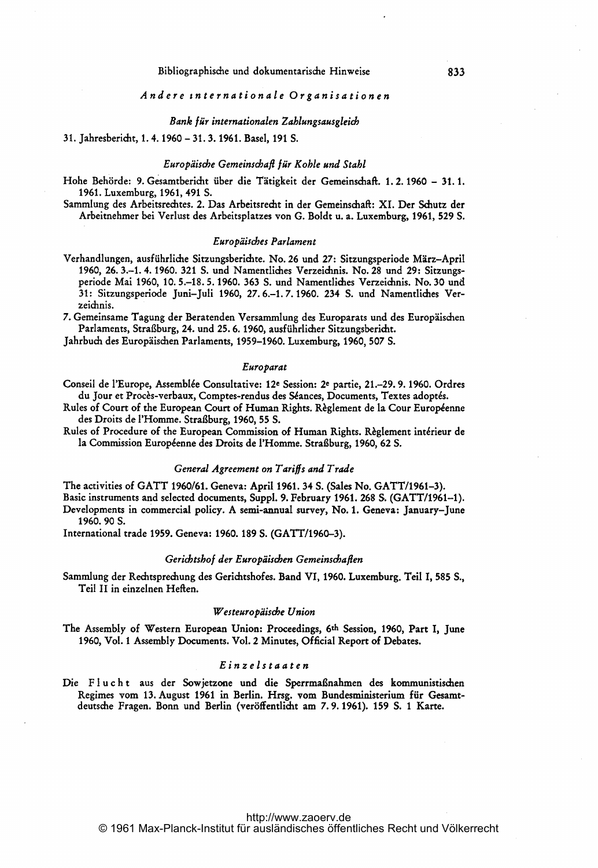## Andere tnternationale Organisationen

#### Bank für internationalen Zahlungsausgleicb

## 31. Jahresbericht, 1. 4. 1960 - 31. 3. 1961. Basel, <sup>191</sup> S.

## Europäische Gemeinschafi für Kohle und Stahl

- Hohe Behörde: 9. Gesamtbericht über die Tätigkeit der Gemeinschaft. 1. 2. 1960 31. 1. 1961. Luxemburg, 1961, 491 S.
- Sammlung des Arbeitsrechtes. 2. Das Arbeitsrecht in der Gemeinschaft: XI. Der Schutz der Arbeitnehmer bei Verlust des Arbeitsplatzes von G. Boldt u. a. Luxemburg, 1961, 529 S.

#### EuroPäiscbes Parlament

- Verhandlungen, ausführliche Sitzungsberichte. No. 26 und 27: Sitzungsperiode März-April 1960, 26. 3.-1. 4. 1960. 321 S. und Namentliches Verzeichnis. No. 28 und 29: Sitzungsperiode Mai 1960, 10. 5.-18. 5. 1960. 363 S. und Namentliches Verzeichnis. No. 30 und 31: Sitzungsperiode Juni-Juli 1960, 27. 6.-1. 7.1960. 234 S. und Namentliches Verzeichnis.
- 7. Gemeinsame Tagung der Beratenden Versammlung des Europarats und des Europäischen Parlaments, Straßburg, 24. und 25.6. 1960, ausführlicher Sitzungsbericht.

Jahrbuch des Europäischen Parlaments, 1959-1960. Luxemburg, 1960, 507 S.

## Europarat

- Conseil de l'Europe, Assemb16e Consultative: 12e Session: 2e partie, 21.-29. 9. 1960. Ordres Europarat<br>Conseil de l'Europe, Assemblée Consultative: 12e Session: 2e partie, 21.–29. 9. 1960. Ordres<br>du Jour et Procès-verbaux, Comptes-rendus des Séances, Documents, Textes adoptés.<br>Rules of Court of the European Court Conseil de l'Europe, Assemblée Consultative: 12e Session: 2e partie, 21.–29. 9. 1960. Ordres<br>du Jour et Procès-verbaux, Comptes-rendus des Séances, Documents, Textes adoptés.<br>Rules of Court of the European Court of Human R
- 
- la Commission Européenne des Droits de l'Homme. Straßburg, 1960, 62 S.

# General Agreement on Tariffs and Trade

The activities of GATT 1960/61. Geneva: April 1961. <sup>34</sup> S. (Sales No. GATT/1961-3). Basic instruments and selected documents, Suppl. 9. February 1961. 268 S. (GATT/1961-1).

Developments in commercial policy. A semi-annual survey, No. 1. Geneva: January-June 1960.90S.

International trade 1959. Geneva: 1960.189 S. (GATT/1960-3).

#### Gericbtsbof der Europaiscben Gemeinschaflen

Sammlung der Rechtsprechung des Gerichtshofes. Band VI, 1960. Luxemburg. Teil 1, 585 S., Teil II in einzelnen Heften.

#### Westeuropäische Union

The Assembly of Western European Union: Proceedings, 6th Session, 1960, Part I, June 1960, Vol. <sup>I</sup> Assembly Documents. Vol. 2 Minutes, Official Report of Debates.

## Einzelstaaten

Die Flucht aus der Sowjetzone und die Sperrmaßnahmen des kommunistischen Regimes vom 13. August <sup>1961</sup> in Berlin. Hrsg. vom Bundesministerium für Gesamtdeutsche Fragen. Bonn und Berlin (veröffentlicht am 7.9.1961). 159 S. <sup>1</sup> Karte.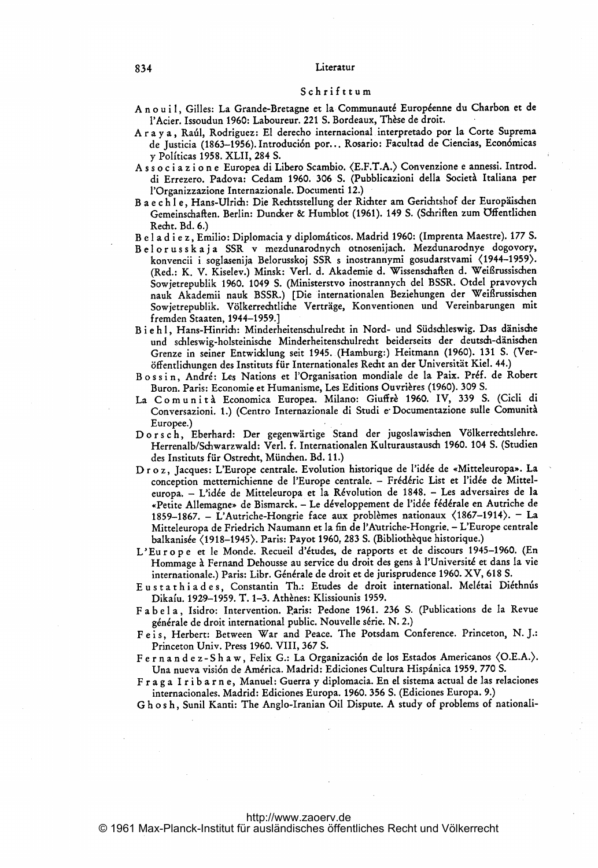## 834 Literatur

#### Schrif ttum

- Anouil, Gilles: La Grande-Bretagne et la Communauté Européenne du Charbon et de l'Acier. Issoudun 1960: Laboureur. 221 S. Bordeaux, Thèse de droit.
- <sup>r</sup> <sup>a</sup> <sup>y</sup> <sup>a</sup> Raffl, Rodrigucz: EI derecho internacional interpretado por la Corte Suprema de Justicia (1863-1956). Introdución por... Rosario: Facultad de Ciencias, Económicas y Politicas 1958. XLII, 284 S.
- A <sup>s</sup> <sup>s</sup> <sup>o</sup> <sup>c</sup> <sup>i</sup> <sup>a</sup> <sup>z</sup> <sup>i</sup> <sup>o</sup> n <sup>e</sup> Europea di Libero Scambio. <E.F.T.A.) Convenzione <sup>e</sup> annessi. Introd. di Errezero. Padova: Cedam 1960. 306 S. (Pubblicazioni della Societä Italiana per l'Organizzazione Internazionale. Documenti 12.)
- Baechle, Hans-Ulrich: Die Rechtsstellung der Richter am Gerichtshof der Europäischen Gemeinschaften. Berlin: Duncker & Humblot (1961). 149 S. (Schriften zum Öffentlichen Recht. Bd. 6.)
- B e l a d i e z, Emilio: Diplomacia y diplomáticos. Madrid 1960: (Imprenta Maestre). 177 S.
- Belorusskaja SSR v mezdunarodnych otnosenijach. Mezdunarodnye dogovory, konvencii <sup>i</sup> soglasenija Belorusskoj SSR <sup>s</sup> inostrannymi gosudarstvami (1944-1959>. (Red.: K. V. Kiselev.) Minsk: Verl. d. Akademie d. Wissenschaften d. Weißrussischen Sowjetrepublik 1960. <sup>1049</sup> S. (Ministerstvo inostrannych del BSSR. Otdel pravovych nauk Akademii nauk BSSR.) [Die internationalen Beziehungen der Weißrussischen Sowjetrepublik. Völkerrechtliche Verträge, Konventionen und Vereinbarungen mit fremden Staaten, 1944-1959.]
- B <sup>i</sup> <sup>e</sup> h 1, Hans-Hinrich: Minderheitenschulrecht in Nord- und Südschleswig. Das dänische und schleswig-holsteinische Minderheitenschulrecht beiderseits der deutsch-dänischen Grenze in seiner Entwicklung seit 1945. (Hamburg:) Heitmann (1960). <sup>131</sup> S. (Veröffentlichungen des Instituts für Internationales Recht an der Universität Kiel. 44.)
- Bossin, André: Les Nations et l'Organisation mondiale de la Paix. Préf. de Robert Buron. Paris: Economie et Humanisme, Les Editions Ouvrières (1960). 309 S.
- La Comunità Economica Europea. Milano: Giuffrè 1960. IV, 339 S. (Cicli di Conversazioni. 1.) (Centro Internazionale di Studi e- Documentazione sulle Comunitä Europee.)
- D <sup>o</sup> <sup>r</sup> <sup>s</sup> <sup>c</sup> h, Eberhard: Der gegenwärtige Stand der jugoslawischen Völkerrechtslehre. Herrenalb/Schwarzwald: Verl. f. Internationalen Kulturaustausch 1960. 104 S. (Studien des Instituts für Ostrecht, München. Bd. 11.)
- D r o z, Jacques: L'Europe centrale. Evolution historique de l'idée de «Mitteleuropa». La conception metternichienne de l'Europe centrale. - Frédéric List et l'idée de Mitteleuropa. - L'idée de Mitteleuropa et la Révolution de 1848. - Les adversaires de la «Petite Allemagne» de Bismarck. - Le développement de l'idée fédérale en Autriche de 1859-1867. – L'Autriche-Hongrie face aux problèmes nationaux (1867-1914). – La Mitteleuropa de Friedrich Naumann et la fin de l'Autriche-Hongrie. – L'Europe centrale balkanisée (1918-1945). Paris: Payot 1960, 283 S. (Bibliothèque historique.)
- L'Eu r o p e et le Monde. Recueil d'études, de rapports et de discours 1945-1960. (En Hommage à Fernand Dehousse au service du droit des gens à l'Université et dans la vie internationale.) Paris: Libr. Générale de droit et de jurisprudence 1960. XV, 618 S.
- Eustathiades, Constantin Th.: Etudes de droit international. Melétai Diéthnus Dikaíu. 1929-1959. T. 1-3. Athènes: Klissiounis 1959.
- F <sup>a</sup> <sup>b</sup> <sup>e</sup> <sup>I</sup> a, Isidro: Intervention. Paris: Pedone 1961. <sup>236</sup> S. (Publications de la Revue générale de droit international public. Nouvelle série. N. 2.)
- Feis, Herbert: Between War and Peace. The Potsdam Conference. Princeton, N. J.: Princeton Univ. Press 1960. VIII, 367 S.
- F e r n a n d e z S h a w, Felix G.: La Organización de los Estados Americanos (O.E.A.). Una nueva visión de América. Madrid: Ediciones Cultura Hispánica 1959. 770 S.
- F <sup>r</sup> <sup>a</sup> <sup>g</sup> <sup>a</sup> <sup>I</sup> <sup>r</sup> <sup>i</sup> <sup>b</sup> <sup>a</sup> <sup>r</sup> <sup>n</sup> e, Manuel: Guerra y diplomacia. En el sistema actual de las relaciones internacionales. Madrid: Ediciones Europa. 1960. 356 S. (Ediciones Europa. 9.)

G <sup>h</sup> <sup>o</sup> <sup>s</sup> h, Sunil Kanti: The Anglo-Iranian Oil Dispute. A study of problems of nationali-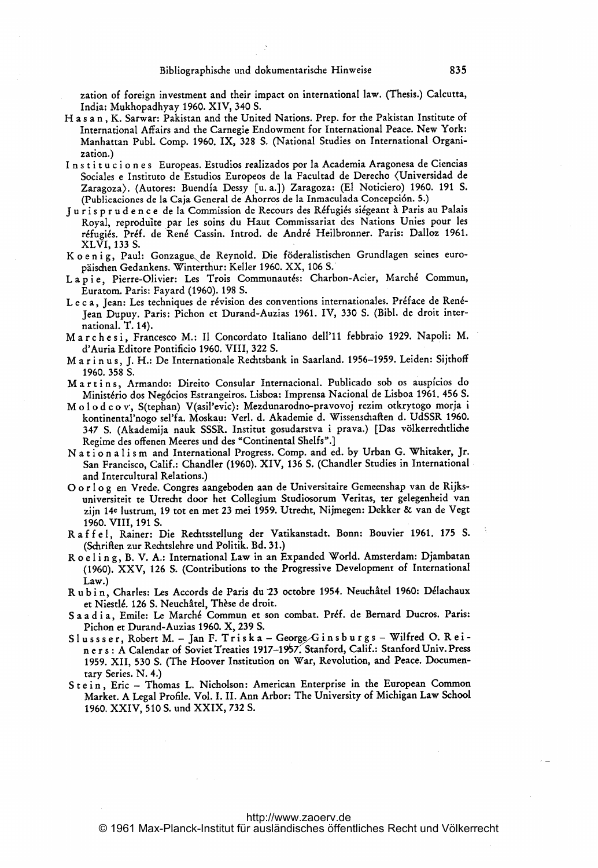zation of foreign investment and their impact on international law. (Thesis.) Calcutta, India: Mukhopadhyay 1960. XIV, 340 S.

- H <sup>a</sup> <sup>s</sup> <sup>a</sup> n, K. Sarwar: Pakistan and the United Nations. Prep. for the Pakistan Institute of International Affairs and the Carnegie Endowment for International Peace. New York: Manhattan Publ. Comp. 1960. IX, 328 S. (National Studies on International Organization.)
- <sup>I</sup> n <sup>s</sup> <sup>t</sup> <sup>i</sup> <sup>t</sup> <sup>u</sup> <sup>c</sup> <sup>i</sup> <sup>o</sup> n <sup>e</sup> <sup>s</sup> Europeas. Estudios realizados por la Academia Aragonesa de Ciencias Sociales e Instituto de Estudios Europeos de la Facultad de Derecho (Universidad de Zaragoza>. (Autores: Buendia Dessy [u. a.]) Zaragoza: (El Noticiero) 1960. 191 S. (Publicaciones de la Caja General de Ahorros de la Inmaculada Concepci6n. 5.)
- Juris prudence de la Commission de Recours des Réfugiés siégeant à Paris au Palais Royal, reproduite par les soins du Haut Commissariat des Nations Unies pour les re'fugi6s. Pr6f. de Ren6 Cassin. Introd. de Andre Heilbronner. Paris: Dalloz 1961. XLVI, 133 S.
- Koenig, Paul: Gonzague de Reynold. Die föderalistischen Grundlagen seines europaischen Gedankens. Winterthur: Keller 1960. XX, <sup>106</sup> S.'
- Lapie, Pierre-Olivier: Les Trois Communautés: Charbon-Acier, Marché Commun, Euratom. Paris: Fayard (1960). 198 S.
- Le c a, Jean: Les techniques de révision des conventions internationales. Préface de Renéjean Dupuy. Paris: Pichon et Durand-Auzias 1961. IV, 330 S. (Bibl. de droit international. T. 14).
- Marchesi, Francesco M.: Il Concordato Italiano dell'11 febbraio 1929. Napoli: M. d'Auria Editore Pontificio, 1960. VIII, 322 S.
- Marinus, J. H.: De Internationale Rechtsbank in Saarland. 1956-1959. Leiden: Sijthoff 1960.358 S.
- Martins, Armando: Direito Consular Internacional. Publicado sob os auspícios do Ministério dos Negócios Estrangeiros. Lisboa: Imprensa Nacional de Lisboa 1961. 456 S.
- M o l o d c o v, S(tephan) V(asil'evic): Mezdunarodno-pravovoj rezim otkrytogo morja i kontinental'nogo, sel'fa. Moskau: Verl. d. Akademie d. Wissenschaften d. UdSSR 1960. 347 S. (Akademija nauk SSSR. Institut gosudarstva i prava.) [Das völkerrechtliche Regime des offenen Meeres und des "Continental Shelfs".]
- Nationalism and International Progress. Comp. and ed. by Urban G. Whitaker, Jr. San Francisco, Calif.: Chandler (1960). XIV, 136 S. (Chandler Studies in International and Intercultural Relations.)
- 0 <sup>o</sup> <sup>r</sup> <sup>I</sup> <sup>o</sup> <sup>g</sup> en Vrede. Congres aangeboden aan de Universitaire Gemeenshap van de Rijksuniversiteit te Utrecht door het Collegiurn Studiosorum Veritas, ter gelegenheid van zijn 14e lustrum, 19 tot en met 23 mei 1959. Utrecht, Nijmegen: Dekker & van de Vegt 1960. VIII, 191 S.
- R <sup>a</sup> <sup>f</sup> <sup>f</sup> <sup>e</sup> 1, Rainer: Die Rechtsstellung der Vatikanstadt. Bonn: Bouvier 1961. <sup>175</sup> S. (Sdiriften zur Rechtslehre und Politik. Bd. 31.)
- Roeling, B. V. A.: International Law in an Expanded World. Amsterdam: Djambatan (1960). XXV, <sup>126</sup> S. (Contributions to the Progressive Development of International Law.)
- u b i n, Charles: Les Accords de Paris du 23 octobre 1954. Neuchâtel 1960: Délachaux<br>et Niestlé. 126 S. Neuchâtel, Thèse de droit.
- et Niestlé. 126 S. Neuchâtel, Thèse de droit.<br>S a a d i a, Emile: Le Marché Commun et son combat. Préf. de Bernard Ducros. Paris: Pichon et Durand-Auzias 1960. X, 239 S. Saad ia, Emile: Le Marche Commun et son compat. Fier. de Bernard Ducros. Tans.<br>Pichon et Durand-Auzias 1960. X, 239 S.<br>Slussser, Robert M. – Jan F. Triska – George/Ginsburgs – Wilfred O. Rei-
- n e r s : A Calendar of Soviet Treaties 1917-1957. Stanford, Calif.: Stanford Univ. Press 1959. XII, <sup>530</sup> S. (The Hoover Institution on War, Revolution, and Peace. Documentary Series. N. 4.)
- Stein, Eric Thomas L. Nicholson: American Enterprise in the European Common Market. A Legal Profile. Vol. 1. 11. Ann Arbor: The University of Michigan Law School 1960. XXIV, 510 S. und XXIX, 732 S.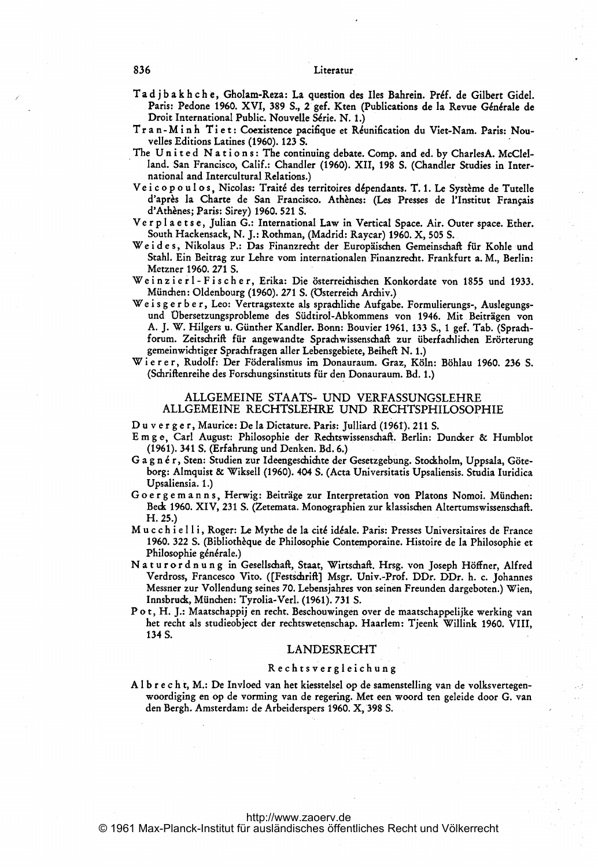## 836 Literatur

- Ta d j b a k h c h e, Gholam-Reza: La question des Iles Bahrein. Préf. de Gilbert Gidel. Paris: Pedone 1960. XVI, 389 S., 2 gef. Kten (Publications de la Revue Générale de Droit International Public. Nouvelle Série. N. 1.)
- Tr a n-M i n h Ti e t : Coexistence pacifique et Réunification du Viet-Nam. Paris: Nouvelles Editions Latines (1960). 123 S.
- The United Nations: The continuing debate. Comp. and ed. by CharlesA. McClelland. San Francisco, Calif.: Chandler (1960). XII, 198 S. (Chandler Studies in International and Intercultural Relations.)
- Ve i c o p o u l o s, Nicolas: Traité des territoires dépendants. T. 1. Le Système de Tutelle d'après la Charte de San Francisco. Athènes: (Les Presses de l'Institut Français d'Athènes; Paris: Sirey) 1960. 521 S.
- Ver p l a e t s e, Julian G.: International Law in Vertical Space. Air. Outer space. Ether. South Hackensack, N. J.: Rothman, (Madrid: Raycar) 1960. X, 505 S.,
- Wei des, Nikolaus P.: Das Finanzrecht der Europäischen Gemeinschaft für Kohle und Stahl. Ein Beitrag zur Lehre vom internationalen Finanzrecht. Frankfurt a. M., Berlin: Metzner 1960. 271 S.
- Weinzier 1-Fischer, Erika: Die österreichischen Konkordate von 1855 und 1933.
- München: Oldenbourg (1960). <sup>271</sup> S. (Osterreich Archiv.) We <sup>i</sup> <sup>s</sup> <sup>g</sup> <sup>e</sup> <sup>r</sup> <sup>b</sup> <sup>e</sup> r, Leo: Vertragstexte als sprachliche Aufgabe. Formulierungs-, Auslegungs- und übersetzungsprobleme des Südtirol-Abkommens von 1946. Mit Beiträgen von A. j. W. Hilgers u. Günther Kandler. Bonn: Bouvier 1961. <sup>133</sup> S., <sup>1</sup> gef. Tab. (Sprach forum. Zeitschrift für angewandte Sprachwissenschaft zur überfachlichen Erörterung
- gemeinwichtiger Sprachfragen aller Lebensgebiete, Beiheft N. 1.) Wi er er, Rudolf: Der Föderalismus im Donauraum. Graz, Köln: Böhlau 1960. <sup>236</sup> S. (Schriftenreihe des Forschungsinstituts für den Donauraum. Bd. 1.)

## ALLGEMEINE STAATS- UND VERFASSUNGSLEHRE ALLGEMEINE RECHTSLEHRE UND RECHTSPHILOSOPHIE

D <sup>u</sup> <sup>v</sup> <sup>e</sup> <sup>r</sup> <sup>g</sup> <sup>e</sup> r, Maurice: De la Dictature. Paris: Julliard (1961). <sup>211</sup> S.

- E m <sup>g</sup> e, Carl August: Philosophie der Rechtswissenschag. Berlin: Dundker & Humblot
- (1961). 341 S. (Erfahrung und Denken. Bd. 6.)<br>G a g n é r , Sten: Studien zur Ideengeschichte der Gesetzgebung. Stockholm, Uppsala, Göteborg: Almquist & Wiksell (1960). 404 S. (Acta Universitatis Upsaliensis. Studia Iuridica Upsaliensia. 1.)
- G <sup>o</sup> <sup>e</sup> <sup>r</sup> <sup>g</sup> <sup>e</sup> m <sup>a</sup> <sup>n</sup> <sup>n</sup> s, Herwig: Beiträge zur Interpretation von Platons Nomoi. München: Beck 1960. XIV, 231 S. (Zetemata. Monographien zur klassischen Altertumswissenschaft. H. 25.)
- M <sup>u</sup> <sup>c</sup> <sup>c</sup> <sup>h</sup> <sup>i</sup> <sup>e</sup> <sup>11</sup> i, Roger: Le Mythe de la cit6 iäale. Paris: Presses Universitaires de France 1960. 322 S. (Bibliothèque de Philosophie Contemporaine. Histoire de la Philosophie et Philosophie g6n6rale.) N <sup>a</sup> <sup>t</sup> <sup>u</sup> <sup>r</sup> <sup>o</sup> <sup>r</sup> <sup>d</sup> <sup>n</sup> <sup>u</sup> <sup>n</sup> <sup>g</sup> in Gesellschaft, Staat, Wirtschaft. Hrsg. von Joseph Höffner, Alfred
- Verdross, Francesco Vito. ([Festichriftl Msgr. Univ.-Prof. DDr. DDr. h. c. Johannes Messner zur Vollendung seines 70. Lebensjahres von seinen Freunden dargeboten.) Wien, Innsbruck, München: Tyrolia-Verl. (1961). 731 S.
- P <sup>o</sup> t, H. J.: Maatschappij en recht. Beschouwingen over de maatschappelijke werking van het recht als studieobject der rechtswetenschap. Haarlem: Tjeenk Willink 1960. VIII, 134S.

## LANDESRECHT

#### R <sup>e</sup> <sup>c</sup> <sup>h</sup> <sup>t</sup> <sup>s</sup> <sup>v</sup> <sup>e</sup> <sup>r</sup> <sup>g</sup> <sup>1</sup> <sup>e</sup> <sup>i</sup> <sup>c</sup> <sup>h</sup> <sup>u</sup> <sup>n</sup> <sup>g</sup>

A <sup>1</sup> <sup>b</sup> <sup>r</sup> <sup>e</sup> <sup>c</sup> <sup>h</sup> t, M.: De Invloed van het kiesstelsel op de samenstelling van de volksvertegenwoordiging en op de vorming van de regering. Met een woord ten geleide door G. van den Bergh. Amsterdam: de Arbeiderspers 1960. X, 398 S.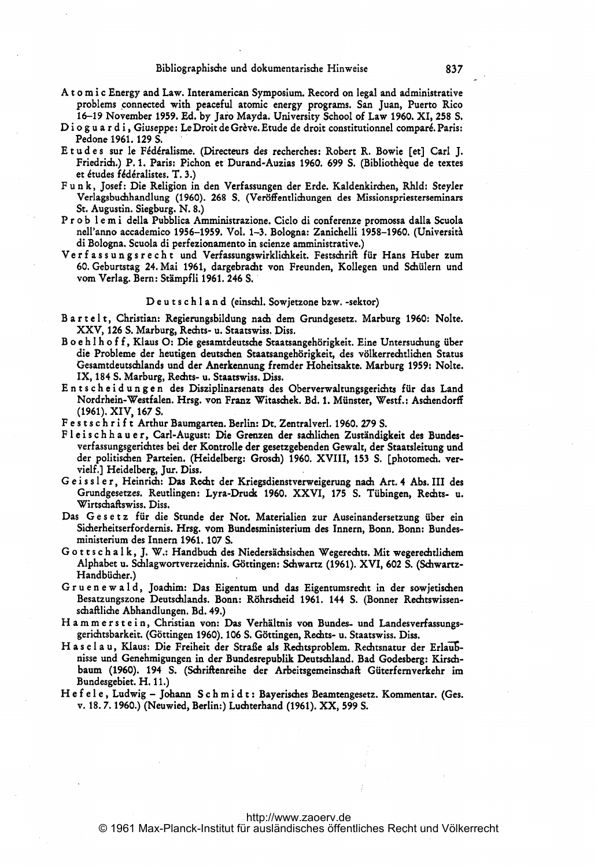- A <sup>t</sup> <sup>o</sup> m <sup>i</sup> <sup>c</sup> Energy and Law. Interamerican Symposium Record on legal and administrative problems 'connected with peaceful atomic energy programs. San Juan, Puerto Rico 16-19 November 1959. Ed. by Jaro Mayda. University School of Law 1960. XI, 258 S.
- D i o g u a r d i , Giuseppe: Le Droit de Grève. Etude de droit constitutionnel comparé. Paris: Pedone 1961. 129 S. \*
- Et udes sur le Fédéralisme. (Directeurs des recherches: Robert R. Bowie [et] Carl J. Friedrich.) P. 1. Paris: Pichon et Durand-Auzias 1960. 699 S. (Bibliothèque de textes et études fédéralistes. T. 3.)
- F u n k, Josef: Die Religion in den Verfassungen der Erde. Kaldenkirchen, Rhld: Steyler Verlagsbuchhandlung (1960). 268 S. (Veröffentlichungen des Missionspriesterseminars St. Augustin. Siegburg. N. 8.) <sup>P</sup> <sup>r</sup> <sup>o</sup> <sup>b</sup> <sup>1</sup> <sup>e</sup> <sup>m</sup> <sup>i</sup> della Pubblica Amministrazione. Ciclo di conferenze promossa dalla Scuola
- nell'anno accademico 1956-1959. Vol. 1-3. Bologna: Zanichelli 1958-1960. (Universitä di Bologna. Scuola di perfezionamento in scienze amministrative.) Ve <sup>r</sup> <sup>f</sup> <sup>a</sup> <sup>s</sup> <sup>s</sup> <sup>u</sup> <sup>n</sup> <sup>g</sup> <sup>s</sup> <sup>r</sup> <sup>e</sup> <sup>c</sup> <sup>h</sup> <sup>t</sup> und Verfassungswirklichkeit. Festschrift für Hans Huber zum
- 60. Geburtstag 24. Mai 1961, dargebracht von Freunden, Kollegen und Schülern und vom Verlag. Bern: Stämpfli 1961. 246 S.

## De u t s c h l a n d (einschl. Sowjetzone bzw. -sektor)

- B <sup>a</sup> <sup>r</sup> <sup>t</sup> <sup>e</sup> <sup>1</sup> t, Christian: Regierungsbildung nach dem Grundgesetz. Marburg 1960: Nolte. XXV, 126 S. Marburg, Rechts- u. Staatswiss. Diss.
- B o <sup>e</sup> h <sup>1</sup> h o <sup>f</sup> <sup>f</sup> Klaus 0: Die gesamtdeutsche Staatsangehörigkeit. Eine Untersuchung über die Probleme der heutigen deutschen Staatsangehörigkeit, des völkerrechtlichen Status Gesamtdeutschlands und der Anerkennung fremder Hoheitsakte. Marburg 1959: Nolte. IX, 184 S. Marburg, Rechts- u. Staatswiss. Diss.
- Entscheidungen des Disziplinarsenats des Oberverwaltungsgerichts für das Land Nordrhein-Westfalen. Hrsg. von Franz Witaschek. Bd. 1. Münster, Westf.: Aschendorff (1961). XIV, 167 S.
- F <sup>e</sup> <sup>s</sup> <sup>t</sup> <sup>s</sup> <sup>c</sup> h <sup>r</sup> <sup>i</sup> <sup>f</sup> <sup>t</sup> Arthur Baumgarten. Berlin: Dt. Zentralverl. 1960. 279 S.
- F <sup>1</sup> <sup>e</sup> <sup>i</sup> <sup>s</sup> <sup>c</sup> h h <sup>a</sup> u <sup>e</sup> r, Carl-August: Die Grenzen der sachlichen Zuständigkeit des Bundesverfassungsgerichtes bei der Kontrolle der gesetzgebenden Gewalt, der Staatsleitung und der politischen Parteien. (Heidelberg: Grosch) 1960. XVIII, 153 S. [photomech. vervielf.] Heidelberg, Jur. Diss.
- Geissler, Heinrich: Das Recht der Kriegsdienstverweigerung nach Art. 4 Abs. III des Grundgesetzes. Reutlingen: Lyra-Druck 1960. XXVI, 175 S. Tübingen, Rechts- u. Wirtschaftswiss. Diss.
- Das Gesetz für die Stunde der Not. Materialien zur Auseinandersetzung über ein Sicherheitserfordernis. Hrsg. vom Bundesministerium des Innern, Bonn. Bonn: Bundesministerium des Innern 1961. 107 S.
- G <sup>o</sup> <sup>t</sup> <sup>t</sup> <sup>s</sup> <sup>c</sup> <sup>h</sup> <sup>a</sup> <sup>1</sup> k, j. W.: Handbuch des Niedersächsischen Wegerechts. Mit wegerechtlichem Alphabet u. Schlagwortverzeichnis. Göttingen: Schwartz (1961). XVI, 602 S. (Schwartz-Handbücher.)
- G <sup>r</sup> <sup>u</sup> <sup>e</sup> <sup>n</sup> <sup>e</sup> w <sup>a</sup> <sup>1</sup> d, Joachim: Das Eigentum und das Eigentumsrecht in der sowjetischen Besatzungszone Deutschlands. Bonn: Röhrscheid 1961. 144 S. (Bonner Rechtswissenschaftliche Abhandlungen. Bd. 49.)
- Hammerstein, Christian von: Das Verhältnis von Bundes- und Landesverfassungsgerichtsbarkeit. (GÖttingen 1960). 106 S. Göttingen, Rechts- u. Staatswiss. Diss.
- Has elau, Klaus: Die Freiheit der Straße als Rechtsproblem. Rechtsnatur der Erlaubnisse und Genehmigungen in der Bundesrepublik Deutschland. Bad Godesberg: Kirschbaum (1960). <sup>194</sup> S. (Schriftenreihe der Arbeitsgemeinschaft Güterfernverkehr im Bundesgebiet. H. 11.)
- H <sup>e</sup> <sup>f</sup> <sup>e</sup> <sup>1</sup> <sup>e</sup> Ludwig Joha= <sup>S</sup> <sup>c</sup> <sup>h</sup> m <sup>i</sup> <sup>d</sup> <sup>t</sup> : Bayerisches Beamtengesetz. Kommentar. (Ges. v. 18. 7. 1960.) (Neuwied, Berlin:) Luchterhand (1961). XX, 599 S.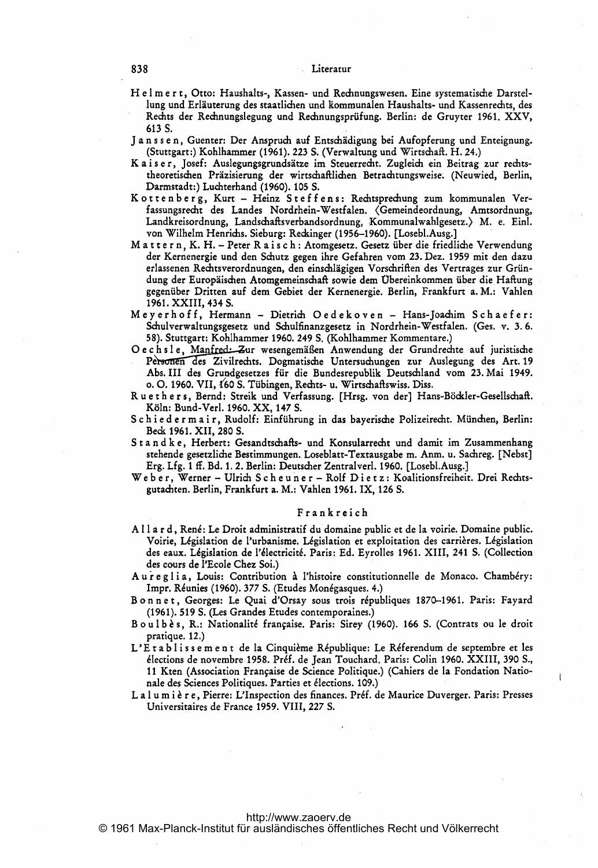## 838 Literatur

- H <sup>e</sup> <sup>1</sup> m <sup>e</sup> <sup>r</sup> t, Otto: Haushalts-, Kassen- und Rechnungswesen. Eine systematische Darstellung und Erläuterung des staatlichen und kommunalen Haushalts- und Kassenrechts, des Rechts der Rechnungslegung und Rechnungsprüfung. Berlin: de Gruyter 1961. XXV, 613S.
- J a n <sup>s</sup> <sup>s</sup> <sup>e</sup> n, Guenter: Der Anspruch auf Entschädigung bei Aufopferung und Enteignung. (Stuttgart:) Kohlhammer (1961). 223 S. (Verwaltung und Wirtschaft. H. 24.)
- K <sup>a</sup> <sup>i</sup> <sup>s</sup> <sup>e</sup> r, Josef: Auslegungsgrundsätze im Steuerrecht. Zugleich ein Beitrag zur rechtstheoretischen Präzisierung der wirtschaftlichen Betrachtungsweise. (Neuwied, Berlin, Darmstadt:) Luchterhand (1960). 105 S.
- K <sup>o</sup> <sup>t</sup> <sup>t</sup> <sup>e</sup> <sup>n</sup> <sup>b</sup> <sup>e</sup> <sup>r</sup> g, Kurt Heinz <sup>S</sup> <sup>t</sup> <sup>e</sup> <sup>f</sup> <sup>f</sup> <sup>e</sup> <sup>n</sup> s: Rechtsprechung zum kommunalen Verfassungsrecht des Landes Nordrhein-Westfalen. <Gemeindeordnung, Amtsordnung, Landkreisordnung, Landschaftsverbandsordnung, Kommunalwahlgesetz.> M. e. Einl. von Wilhelm Henrichs. Sieburg: Reckinger (1956-1960). [Losebl.Ausg.] <sup>M</sup> <sup>a</sup> <sup>t</sup> <sup>t</sup> <sup>e</sup> <sup>r</sup> n, K. H. - Peter <sup>R</sup> <sup>a</sup> <sup>i</sup> <sup>s</sup> <sup>c</sup> <sup>h</sup> : Atomgesetz. Gesetz über die friedliche Verwendung
- der Kernenergie und den Schutz gegen ihre Gefahren vom 23. Dez. 1959 mit den dazu erlassenen Rechtsverordnungen, den einschlägigen Vorschriften des Vertrages zur Gründung der Europäischen Atomgemeinschaft sowie dem übereinkommen über die Haftung gegenüber Dritten auf dem Gebiet der Kernenergie. Berlin, Frankfurt a. M.: Vahlen 1961. XXIII, 434 S.
- M eyerhof f, Hermann Dietrich Oedekoven Hans-Joachim Sch aef er: Schulverwaltungsgesetz und Schulfinanzgesetz in Nordrhein-Westfalen. (Ges. v. 3. 6. <sup>5</sup> 8). Stuttgart: Kohlhammer 1960. 249 S. (Kohlhammer Kommentare.)
- Oechsle, Manfred: Zur wesengemäßen Anwendung der Grundrechte auf juristische Personen des Zivilrechts. Dogmatische Untersuchungen zur Auslegung des Art.19 Abs.III des Grundgesetzes für die Bundesrepublik Deutschland vom 23.Mai 1949. o. 0. 1960. VII, f60 S. Tübingen, Rechts- u. Wirtschaftswiss. Diss.
- Ruethers, Bernd: Streik und Verfassung. [Hrsg. von der] Hans-Böckler-Gesellschaft. Köln: Bund-Verl. 1960. XX, 147 S.
- <sup>S</sup> <sup>c</sup> <sup>h</sup> <sup>i</sup> <sup>e</sup> <sup>d</sup> <sup>e</sup> <sup>r</sup> m <sup>a</sup> <sup>i</sup> r, Rudolf: Einführung in das bayerische Polizeirecht. München, Berlin: Beck 1961. XII, 280 S.
- S <sup>t</sup> a n d k e, Herbert: Gesandtschafts- und Konsularrecht und damit im Zusammenhang stehende gesetzliche Bestimmungen. Loseblatt-Textausgabe m. Anm. u. Sachreg. [Nebst]
- Erg. Lfg. <sup>1</sup> ff. Bd. 1. 2. Berlin: Deutscher Zentralverl. 1960. [Losebl.Ausg.] We <sup>b</sup> <sup>e</sup> r, Werner Ulrich <sup>S</sup> <sup>c</sup> <sup>h</sup> <sup>e</sup> <sup>u</sup> <sup>n</sup> <sup>e</sup> <sup>r</sup> Rolf <sup>D</sup> <sup>i</sup> <sup>e</sup> <sup>t</sup> <sup>z</sup> : Koalitionsfreiheit. Drei Rechtsgutachten. Berlin, Frankfurt a. M.: Vahlen 1961. IX, 126 S.

## Frankreich

- A <sup>11</sup> <sup>a</sup> <sup>r</sup> d, Ren6: Le Droit administratif du domaine public et de la voirie. Demaine public. des eaux. Législation de l'électricité. Paris: Ed. Eyrolles 1961. XIII, 241 S. (Collection Voirie, Législation de l'urbanisme. Législation et exploitation des carrières. 102 1004115<br>ine public.<br>Législation<br>(Collection des cours de l'Ecole Chez Soi.)
- Aureglia, Louis: Contribution à l'histoire constitutionnelle de Monaco. Chambéry: Impr. Réunies (1960). 377 S. (Etudes Monégasques. 4.)
- Bonnet, Georges: Le Quai d'Orsay sous trois républiques 1870-1961. Paris: Fayard (1961). 519 S. (Les Grandes Etudes contemporaines.)
- Boulbès, R.: Nationalité française. Paris: Sirey (1960). 166 S. (Contrats ou le droit pratique. 12.)
- L'Et a b l issement de la Cinquième République: Le Réferendum de septembre et les élections de novembre 1958. Préf. de Jean Touchard. Paris: Colin 1960. XXIII, 390 S., <sup>11</sup> Kten (Association Frangaise de Science Politique.) (Cahiers de la Fendation Nationale des Sciences Politiques. Parties et 61ections. 109.)
- La l u m i è r e, Pierre: L'Inspection des finances. Préf. de Maurice Duverger. Paris: Presses Universitaires de France 1959. VIII, 227 S.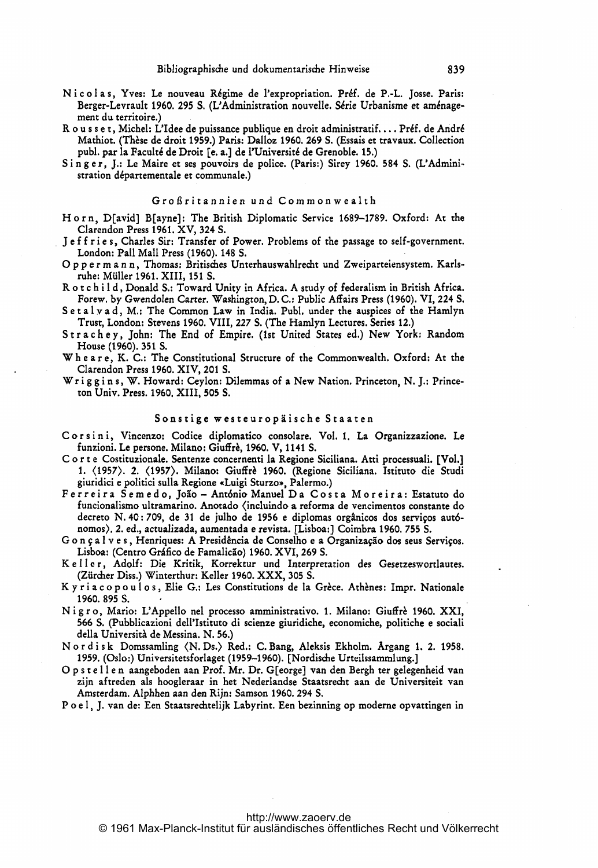- Nicolas, Yves: Le nouveau Régime de l'expropriation. Préf. de P.-L. Josse. Paris: Berger-Levrault 1960. 295 S. (L'Administration nouvelle. Série Urbanisme et aménagement du territoire.)
- R o u s s e t, Michel: L'Idee de puissance publique en droit administratif.... Préf. de André Mathiot. (Thèse de droit 1959.) Paris: Dalloz 1960. 269 S. (Essais et travaux. Collection publ. par la Faculté de Droit [e. a.] de l'Université de Grenoble. 15.)
- Singer, J.: Le Maire et ses pouvoirs de police. (Paris:) Sirey 1960. 584 S. (L'Administration départementale et communale.)

#### Großritannien und Commonwealth

- Horn, D(avid] B(ayne]: The British Diplomatic Service 1689-1789. Oxford: At the Clarendon Press 1961. XV, 324 S.
- Jeffries, Charles Sir: Transfer of Power. Problems of the passage to self-government. London: Pall Mall Press (1960). 148 S.
- 0 <sup>p</sup> <sup>p</sup> <sup>e</sup> <sup>r</sup> m <sup>a</sup> <sup>n</sup> n, Thomas: Britisches Unterhauswahlrecht und Zweiparteiensystem. Karlsruhe: Müller 1961. XIII, 151 S.
- R <sup>o</sup> <sup>t</sup> <sup>c</sup> <sup>h</sup> <sup>i</sup> <sup>I</sup> d, Donald S.: Toward Unity in Africa. A study of federalism in British Africa. Forew. by Gwendolen Carter. 'Washington, D. C.: Public Affairs Press (1960). VI, 224 S.
- Setalyad, M.: The Common Law in India. Publ. under the auspices of the Hamlyn Trust, London: Stevens 1960. VIII, 227 S. (The Hamlyn Lectures. Series 12.)
- Strachey, John: The End of Empire. (1st United States ed.) New York: Random House (1960). 351 S.
- Wh <sup>e</sup> <sup>a</sup> <sup>r</sup> e, K. C.: The Constitutional Structure of the Commonwealth. Oxford: At the Clarendon Press 1960. XIV, 201 S.
- Wr <sup>i</sup> <sup>g</sup> <sup>g</sup> <sup>i</sup> <sup>n</sup> s, W. Howard: Ceylon: Dilemmas of <sup>a</sup> New Nation. Princeton, N. J.: Princeton Univ. Press. 1960. XIII, 505 S.

#### Sonstige westeuropäische Staaten

- Corsini, Vincenzo: Codice diplomatico consolare. Vol. 1. La Organizzazione. Le funzioni. Le persone. Milano: Giuffrè, 1960. V, 1141 S.
- C o r t e Costituzionale. Sentenze concernenti la Regione Siciliana. Atti processuali. [Vol.] 1. (1957). 2. (1957). Milano: Giuffri 1960. (Regione Siciliana. Istituto die Studi giuridici <sup>e</sup> politici sulla Regione \*Luigi Sturzo\*, Palermo.) Ferreira Semedo, Joib - Ant6nio Manuel Da Costa M oreira: Estatuto do
- funcionalismo ultramarino. Anotado (incluindo a reforma de vencimentos constante do decreto N. 40: 709, de 31 de julho de 1956 e diplomas orgânicos dos serviços autónomos). 2. ed., actualizada, aumentada <sup>e</sup> revista. [Lisboa:] Coimbra 1960. 755 S.
- G o n ç a l v e s, Henriques: A Presidência de Conselho e a Organização dos seus Serviços. Lisboa: (Centro Gráfico de Famalicão) 1960. XVI, 269 S.
- Keller, Adolf: Die Kritik, Korrektur und Interpretation des Gesetzeswortlautes. (Ziircher Diss.) Winterthur: Keller 1960. XXX, <sup>305</sup> S.
- Ky r i a c o p o u l o s, Elie G.: Les Constitutions de la Grèce. Athènes: Impr. Nationale 1960.895 S.
- Nigro, Mario: L'Appello nel processo amministrativo. 1. Milano: Giuffrè 1960. XXI, 566 S. (Pubblicazioni dell'Istituto di scienze giuridiche, economiche, politiche <sup>e</sup> sociali della Università de Messina. N. 56.)
- Nordisk Domssamling (N. Ds.) Red.: C. Bang, Aleksis Ekholm. Argang 1. 2. 1958. 1959. (Oslo:) Universitetsforlaget (1959-1960). (Nordische Urteilssammlung.]
- 0 <sup>p</sup> <sup>s</sup> <sup>t</sup> <sup>e</sup> <sup>I</sup> <sup>I</sup> <sup>e</sup> <sup>n</sup> aangeboden aan Prof. Mr. Dr. G[eorge] van den Bergh ter gelegenheid van zijn aftreden als hoogleraar in het Nederlandse Staatsrecht aan de Universiteit van Amsterdam. Alphhen aan den Rijn: Samson 1960. 294 S.
- P <sup>o</sup> <sup>e</sup> 1, J. van de: Een Staatsrechtelijk Labyrint. Een bezinning op moderne opvattingen in